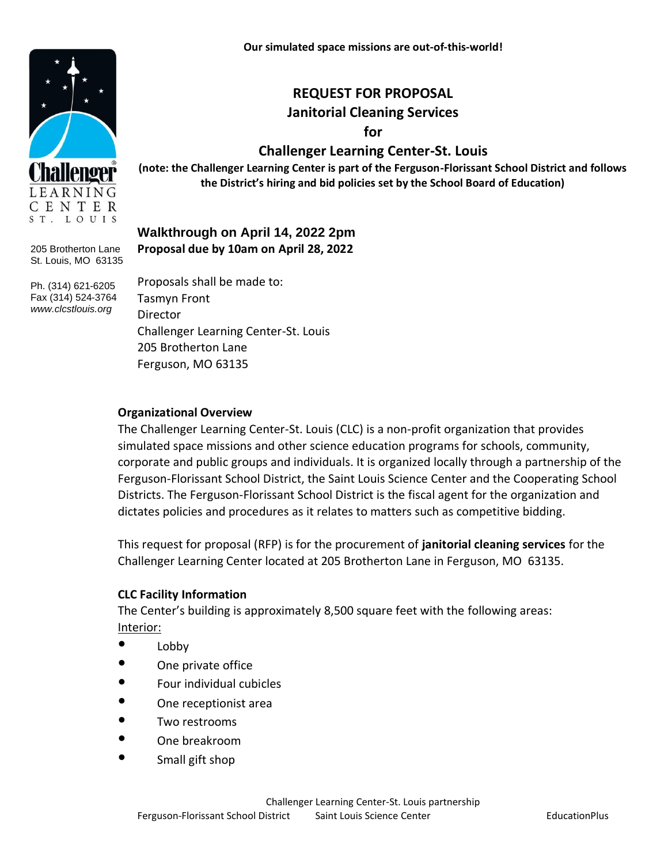# **REQUEST FOR PROPOSAL Janitorial Cleaning Services**

**for**

# **Challenger Learning Center-St. Louis**

**(note: the Challenger Learning Center is part of the Ferguson-Florissant School District and follows the District's hiring and bid policies set by the School Board of Education)**

# **Walkthrough on April 14, 2022 2pm Proposal due by 10am on April 28, 2022**

Proposals shall be made to: Tasmyn Front **Director** Challenger Learning Center-St. Louis 205 Brotherton Lane Ferguson, MO 63135

#### **Organizational Overview**

The Challenger Learning Center-St. Louis (CLC) is a non-profit organization that provides simulated space missions and other science education programs for schools, community, corporate and public groups and individuals. It is organized locally through a partnership of the Ferguson-Florissant School District, the Saint Louis Science Center and the Cooperating School Districts. The Ferguson-Florissant School District is the fiscal agent for the organization and dictates policies and procedures as it relates to matters such as competitive bidding.

This request for proposal (RFP) is for the procurement of **janitorial cleaning services** for the Challenger Learning Center located at 205 Brotherton Lane in Ferguson, MO 63135.

#### **CLC Facility Information**

The Center's building is approximately 8,500 square feet with the following areas: Interior:

- Lobby
- One private office
- Four individual cubicles
- One receptionist area
- Two restrooms
- One breakroom
- Small gift shop





205 Brotherton Lane St. Louis, MO 63135

Ph. (314) 621-6205 Fax (314) 524-3764 *www.clcstlouis.org*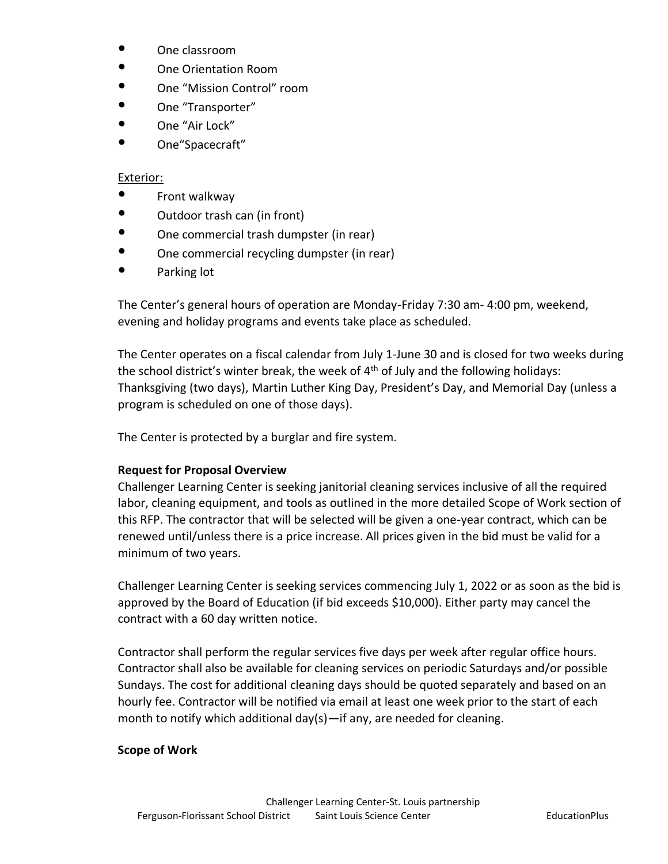- One classroom
- One Orientation Room
- One "Mission Control" room
- One "Transporter"
- One "Air Lock"
- One"Spacecraft"

# Exterior:

- Front walkway
- Outdoor trash can (in front)
- One commercial trash dumpster (in rear)
- One commercial recycling dumpster (in rear)
- Parking lot

The Center's general hours of operation are Monday-Friday 7:30 am- 4:00 pm, weekend, evening and holiday programs and events take place as scheduled.

The Center operates on a fiscal calendar from July 1-June 30 and is closed for two weeks during the school district's winter break, the week of  $4<sup>th</sup>$  of July and the following holidays: Thanksgiving (two days), Martin Luther King Day, President's Day, and Memorial Day (unless a program is scheduled on one of those days).

The Center is protected by a burglar and fire system.

# **Request for Proposal Overview**

Challenger Learning Center is seeking janitorial cleaning services inclusive of all the required labor, cleaning equipment, and tools as outlined in the more detailed Scope of Work section of this RFP. The contractor that will be selected will be given a one-year contract, which can be renewed until/unless there is a price increase. All prices given in the bid must be valid for a minimum of two years.

Challenger Learning Center is seeking services commencing July 1, 2022 or as soon as the bid is approved by the Board of Education (if bid exceeds \$10,000). Either party may cancel the contract with a 60 day written notice.

Contractor shall perform the regular services five days per week after regular office hours. Contractor shall also be available for cleaning services on periodic Saturdays and/or possible Sundays. The cost for additional cleaning days should be quoted separately and based on an hourly fee. Contractor will be notified via email at least one week prior to the start of each month to notify which additional day(s)—if any, are needed for cleaning.

# **Scope of Work**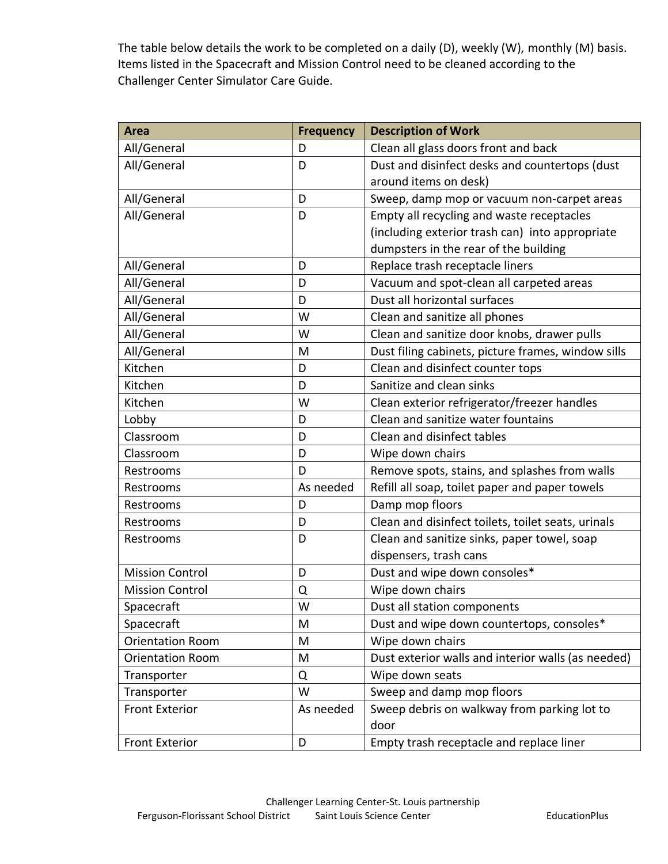The table below details the work to be completed on a daily (D), weekly (W), monthly (M) basis. Items listed in the Spacecraft and Mission Control need to be cleaned according to the Challenger Center Simulator Care Guide.

| <b>Area</b>             | <b>Frequency</b> | <b>Description of Work</b>                         |
|-------------------------|------------------|----------------------------------------------------|
| All/General             | D                | Clean all glass doors front and back               |
| All/General             | D                | Dust and disinfect desks and countertops (dust     |
|                         |                  | around items on desk)                              |
| All/General             | D                | Sweep, damp mop or vacuum non-carpet areas         |
| All/General             | D                | Empty all recycling and waste receptacles          |
|                         |                  | (including exterior trash can) into appropriate    |
|                         |                  | dumpsters in the rear of the building              |
| All/General             | D                | Replace trash receptacle liners                    |
| All/General             | D                | Vacuum and spot-clean all carpeted areas           |
| All/General             | D                | Dust all horizontal surfaces                       |
| All/General             | W                | Clean and sanitize all phones                      |
| All/General             | W                | Clean and sanitize door knobs, drawer pulls        |
| All/General             | M                | Dust filing cabinets, picture frames, window sills |
| Kitchen                 | D                | Clean and disinfect counter tops                   |
| Kitchen                 | D                | Sanitize and clean sinks                           |
| Kitchen                 | W                | Clean exterior refrigerator/freezer handles        |
| Lobby                   | D                | Clean and sanitize water fountains                 |
| Classroom               | D                | Clean and disinfect tables                         |
| Classroom               | D                | Wipe down chairs                                   |
| Restrooms               | D                | Remove spots, stains, and splashes from walls      |
| Restrooms               | As needed        | Refill all soap, toilet paper and paper towels     |
| Restrooms               | D                | Damp mop floors                                    |
| Restrooms               | D                | Clean and disinfect toilets, toilet seats, urinals |
| Restrooms               | D                | Clean and sanitize sinks, paper towel, soap        |
|                         |                  | dispensers, trash cans                             |
| <b>Mission Control</b>  | D                | Dust and wipe down consoles*                       |
| <b>Mission Control</b>  | Q                | Wipe down chairs                                   |
| Spacecraft              | W                | Dust all station components                        |
| Spacecraft              | M                | Dust and wipe down countertops, consoles*          |
| <b>Orientation Room</b> | M                | Wipe down chairs                                   |
| <b>Orientation Room</b> | M                | Dust exterior walls and interior walls (as needed) |
| Transporter             | Q                | Wipe down seats                                    |
| Transporter             | W                | Sweep and damp mop floors                          |
| <b>Front Exterior</b>   | As needed        | Sweep debris on walkway from parking lot to        |
|                         |                  | door                                               |
| <b>Front Exterior</b>   | D                | Empty trash receptacle and replace liner           |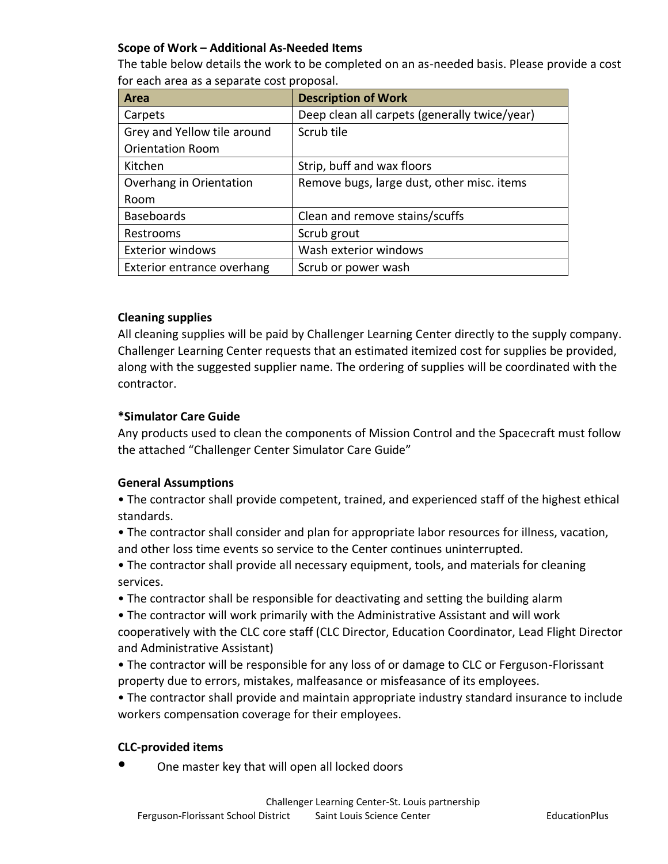### **Scope of Work – Additional As-Needed Items**

The table below details the work to be completed on an as-needed basis. Please provide a cost for each area as a separate cost proposal.

| Area                        | <b>Description of Work</b>                    |
|-----------------------------|-----------------------------------------------|
| Carpets                     | Deep clean all carpets (generally twice/year) |
| Grey and Yellow tile around | Scrub tile                                    |
| <b>Orientation Room</b>     |                                               |
| Kitchen                     | Strip, buff and wax floors                    |
| Overhang in Orientation     | Remove bugs, large dust, other misc. items    |
| Room                        |                                               |
| <b>Baseboards</b>           | Clean and remove stains/scuffs                |
| Restrooms                   | Scrub grout                                   |
| <b>Exterior windows</b>     | Wash exterior windows                         |
| Exterior entrance overhang  | Scrub or power wash                           |

#### **Cleaning supplies**

All cleaning supplies will be paid by Challenger Learning Center directly to the supply company. Challenger Learning Center requests that an estimated itemized cost for supplies be provided, along with the suggested supplier name. The ordering of supplies will be coordinated with the contractor.

#### **\*Simulator Care Guide**

Any products used to clean the components of Mission Control and the Spacecraft must follow the attached "Challenger Center Simulator Care Guide"

# **General Assumptions**

• The contractor shall provide competent, trained, and experienced staff of the highest ethical standards.

- The contractor shall consider and plan for appropriate labor resources for illness, vacation, and other loss time events so service to the Center continues uninterrupted.
- The contractor shall provide all necessary equipment, tools, and materials for cleaning services.
- The contractor shall be responsible for deactivating and setting the building alarm
- The contractor will work primarily with the Administrative Assistant and will work cooperatively with the CLC core staff (CLC Director, Education Coordinator, Lead Flight Director
- and Administrative Assistant)
- The contractor will be responsible for any loss of or damage to CLC or Ferguson-Florissant property due to errors, mistakes, malfeasance or misfeasance of its employees.
- The contractor shall provide and maintain appropriate industry standard insurance to include workers compensation coverage for their employees.

#### **CLC-provided items**

One master key that will open all locked doors